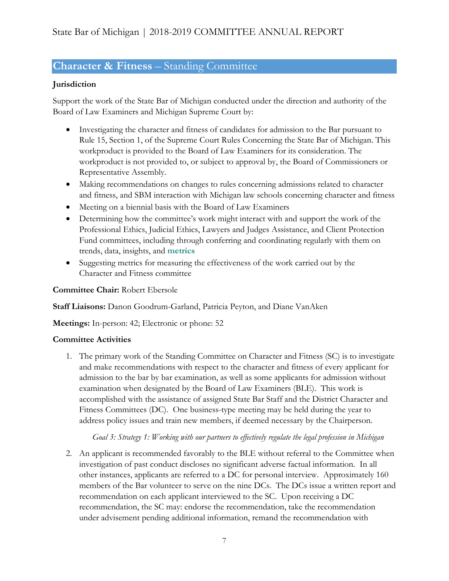# **Character & Fitness** – Standing Committee

### **Jurisdiction**

Support the work of the State Bar of Michigan conducted under the direction and authority of the Board of Law Examiners and Michigan Supreme Court by:

- Investigating the character and fitness of candidates for admission to the Bar pursuant to Rule 15, Section 1, of the Supreme Court Rules Concerning the State Bar of Michigan. This workproduct is provided to the Board of Law Examiners for its consideration. The workproduct is not provided to, or subject to approval by, the Board of Commissioners or Representative Assembly.
- Making recommendations on changes to rules concerning admissions related to character and fitness, and SBM interaction with Michigan law schools concerning character and fitness
- Meeting on a biennial basis with the Board of Law Examiners
- Determining how the committee's work might interact with and support the work of the Professional Ethics, Judicial Ethics, Lawyers and Judges Assistance, and Client Protection Fund committees, including through conferring and coordinating regularly with them on trends, data, insights, and **metrics**
- Suggesting metrics for measuring the effectiveness of the work carried out by the Character and Fitness committee

**Committee Chair:** Robert Ebersole

**Staff Liaisons:** Danon Goodrum-Garland, Patricia Peyton, and Diane VanAken

**Meetings:** In-person: 42; Electronic or phone: 52

#### **Committee Activities**

1. The primary work of the Standing Committee on Character and Fitness (SC) is to investigate and make recommendations with respect to the character and fitness of every applicant for admission to the bar by bar examination, as well as some applicants for admission without examination when designated by the Board of Law Examiners (BLE). This work is accomplished with the assistance of assigned State Bar Staff and the District Character and Fitness Committees (DC). One business-type meeting may be held during the year to address policy issues and train new members, if deemed necessary by the Chairperson.

#### *Goal 3: Strategy 1: Working with our partners to effectively regulate the legal profession in Michigan*

2. An applicant is recommended favorably to the BLE without referral to the Committee when investigation of past conduct discloses no significant adverse factual information. In all other instances, applicants are referred to a DC for personal interview. Approximately 160 members of the Bar volunteer to serve on the nine DCs. The DCs issue a written report and recommendation on each applicant interviewed to the SC. Upon receiving a DC recommendation, the SC may: endorse the recommendation, take the recommendation under advisement pending additional information, remand the recommendation with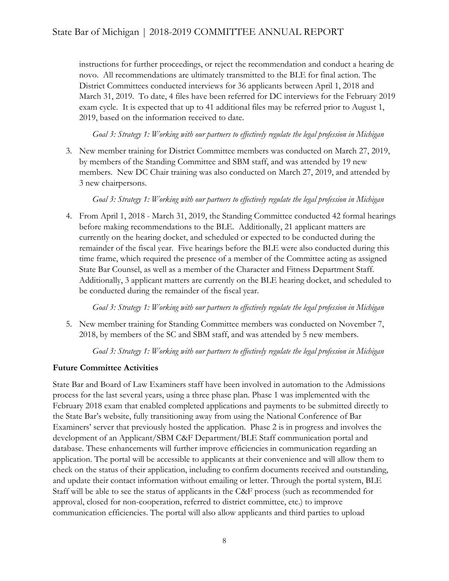instructions for further proceedings, or reject the recommendation and conduct a hearing de novo. All recommendations are ultimately transmitted to the BLE for final action. The District Committees conducted interviews for 36 applicants between April 1, 2018 and March 31, 2019. To date, 4 files have been referred for DC interviews for the February 2019 exam cycle. It is expected that up to 41 additional files may be referred prior to August 1, 2019, based on the information received to date.

*Goal 3: Strategy 1: Working with our partners to effectively regulate the legal profession in Michigan*

3. New member training for District Committee members was conducted on March 27, 2019, by members of the Standing Committee and SBM staff, and was attended by 19 new members. New DC Chair training was also conducted on March 27, 2019, and attended by 3 new chairpersons.

*Goal 3: Strategy 1: Working with our partners to effectively regulate the legal profession in Michigan*

4. From April 1, 2018 - March 31, 2019, the Standing Committee conducted 42 formal hearings before making recommendations to the BLE. Additionally, 21 applicant matters are currently on the hearing docket, and scheduled or expected to be conducted during the remainder of the fiscal year. Five hearings before the BLE were also conducted during this time frame, which required the presence of a member of the Committee acting as assigned State Bar Counsel, as well as a member of the Character and Fitness Department Staff. Additionally, 3 applicant matters are currently on the BLE hearing docket, and scheduled to be conducted during the remainder of the fiscal year.

*Goal 3: Strategy 1: Working with our partners to effectively regulate the legal profession in Michigan*

5. New member training for Standing Committee members was conducted on November 7, 2018, by members of the SC and SBM staff, and was attended by 5 new members.

*Goal 3: Strategy 1: Working with our partners to effectively regulate the legal profession in Michigan*

#### **Future Committee Activities**

State Bar and Board of Law Examiners staff have been involved in automation to the Admissions process for the last several years, using a three phase plan. Phase 1 was implemented with the February 2018 exam that enabled completed applications and payments to be submitted directly to the State Bar's website, fully transitioning away from using the National Conference of Bar Examiners' server that previously hosted the application. Phase 2 is in progress and involves the development of an Applicant/SBM C&F Department/BLE Staff communication portal and database. These enhancements will further improve efficiencies in communication regarding an application. The portal will be accessible to applicants at their convenience and will allow them to check on the status of their application, including to confirm documents received and outstanding, and update their contact information without emailing or letter. Through the portal system, BLE Staff will be able to see the status of applicants in the C&F process (such as recommended for approval, closed for non-cooperation, referred to district committee, etc.) to improve communication efficiencies. The portal will also allow applicants and third parties to upload